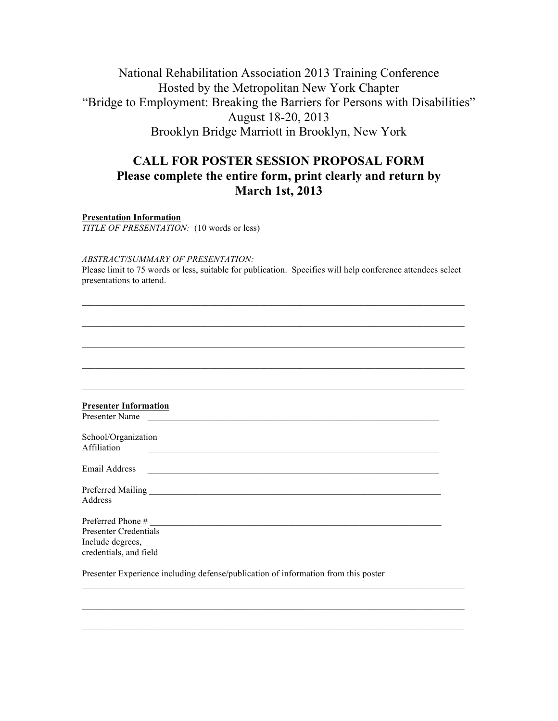## National Rehabilitation Association 2013 Training Conference Hosted by the Metropolitan New York Chapter "Bridge to Employment: Breaking the Barriers for Persons with Disabilities" August 18-20, 2013 Brooklyn Bridge Marriott in Brooklyn, New York

## **CALL FOR POSTER SESSION PROPOSAL FORM Please complete the entire form, print clearly and return by March 1st, 2013**

**Presentation Information**

*TITLE OF PRESENTATION:* (10 words or less)

*ABSTRACT/SUMMARY OF PRESENTATION:* Please limit to 75 words or less, suitable for publication. Specifics will help conference attendees select presentations to attend.

 $\mathcal{L}_\mathcal{L} = \{ \mathcal{L}_\mathcal{L} = \{ \mathcal{L}_\mathcal{L} = \{ \mathcal{L}_\mathcal{L} = \{ \mathcal{L}_\mathcal{L} = \{ \mathcal{L}_\mathcal{L} = \{ \mathcal{L}_\mathcal{L} = \{ \mathcal{L}_\mathcal{L} = \{ \mathcal{L}_\mathcal{L} = \{ \mathcal{L}_\mathcal{L} = \{ \mathcal{L}_\mathcal{L} = \{ \mathcal{L}_\mathcal{L} = \{ \mathcal{L}_\mathcal{L} = \{ \mathcal{L}_\mathcal{L} = \{ \mathcal{L}_\mathcal{$ 

| <b>Presenter Information</b><br>Presenter Name                                                    |  |
|---------------------------------------------------------------------------------------------------|--|
| School/Organization<br>Affiliation<br><u> 1989 - Johann Stoff, amerikansk politiker (d. 1989)</u> |  |
| Email Address<br><u> 1989 - Andrea Stadt Britain, amerikansk politik (d. 1989)</u>                |  |
| Address                                                                                           |  |
| <b>Presenter Credentials</b><br>Include degrees,<br>credentials, and field                        |  |
| Presenter Experience including defense/publication of information from this poster                |  |

 $\mathcal{L}_\mathcal{L} = \{ \mathcal{L}_\mathcal{L} = \{ \mathcal{L}_\mathcal{L} = \{ \mathcal{L}_\mathcal{L} = \{ \mathcal{L}_\mathcal{L} = \{ \mathcal{L}_\mathcal{L} = \{ \mathcal{L}_\mathcal{L} = \{ \mathcal{L}_\mathcal{L} = \{ \mathcal{L}_\mathcal{L} = \{ \mathcal{L}_\mathcal{L} = \{ \mathcal{L}_\mathcal{L} = \{ \mathcal{L}_\mathcal{L} = \{ \mathcal{L}_\mathcal{L} = \{ \mathcal{L}_\mathcal{L} = \{ \mathcal{L}_\mathcal{$